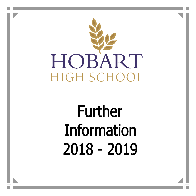

# **Further** Information 2018 - 2019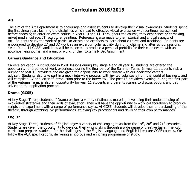# **Curriculum 2018/2019**

## **Art**

The aim of the Art Department is to encourage and assist students to develop their visual awareness. Students spend the first three years learning the disciplines which lead to effective visual expression with continual assessment before choosing to enter an exam course in Years 10 and 11. Throughout the course, they experience print making, mixed media, collage, IT, sculpture, painting. Reference is also made to the historical and critical aspects of Art. Students study the work of particular artists and artefacts to learn about cultures and traditions. Students are encouraged to develop 2D and 3D work as an extra curricular activity during lunchtime and after school sessions. Year 10 and 11 GCSE candidates will be expected to produce a personal portfolio for their coursework with an accompanying journal and a unit of work for their Externally Set Assignment.

#### **Careers Guidance and Education**

Careers education is introduced in PSHE lessons during key stage 4 and all year 10 students are offered the opportunity for a period of work experience during the final part of the Summer Term. In year 11 students visit a number of post-16 providers and are given the opportunity to work closely with our dedicated careers adviser. Students also take part in a mock interview process, with invited volunteers from the world of business, and will compile a CV and letter of introduction prior to the interview. The post 16 providers evening, during the first part of the Autumn Term, is also an opportunity for year 11 students and parents /carers to discuss options and get advice on the application process.

## **Drama (GCSE)**

At Key Stage Three, students of Drama explore a variety of stimulus material, developing their understanding of explorative strategies and their skills of evaluation. They will have the opportunity to work collaboratively to produce scripts and experiment with a range of performance styles. At GCSE, students will develop their understanding of the theatre, through watching live performances, studying key practitioners and devising their own performances.

#### **English**

At Key Stage Three, students of English enjoy a variety of challenging texts from the  $19<sup>th</sup>$ , 20<sup>th</sup> and  $21<sup>st</sup>$  centuries. Students are given the opportunity to develop their writing skills through a wide range of creative tasks. The KS3 curriculum prepares students for the challenges of the English Language and English Literature GCSE courses. We follow the AOA specifications, delivering a rigorous and enriching programme of study.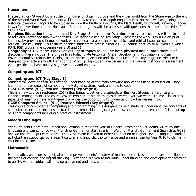## **Humanities**

**History** at Key Stage 3 looks at the chronology of Britain, Europe and the wider world from the Stone Age to the end of the Second World War. Students will learn how to conduct in-depth enquiries into topics as well as gaining an historical overview. Topics to be studied include the Battle of Hastings, the Black Death, witchcraft, slavery, changes in warfare over time and the Holocaust. Student progress with be assessed with questions that are in the style of GCSE tasks.

**Religious Education** has a balanced Key Stage 3 curriculum. We aim to provide students with a breadth of religious knowledge about world faiths. The rationale behind Key Stage 3 schemes of work is to build on prior learning, by providing schemes of work which concentrate on the philosophical and ethical issues presented by religion. The key stage 3 curriculum enables students to access either a GCSE course of study or RE within a wider PSHE PSD programme covering years 10 and 11.

**Geography** at key stage 3 looks at variety of topics to include both physical and human themes of discovery. These include: The British Isles today, plate tectonics, Africa, Development, Population and Asia, Environmental Sustainability, Geological timescales, glaciation and Rivers. Much of the key stage 3 curriculum is designed to enable a smooth transition to GCSE, giving student's experience of the various methods of assessment with specific emphasis on investigative study and enquiry.

## **Computing and ICT**

## **Computing and ICT (Key Stage 3)**

Students will develop their skill set and understanding of the main software applications used in education. They learn the fundamentals of computing, how digital systems work and how to code.

## **GCSE Business (9-1) Pearson Edexcel (Key Stage 4)**

This is a new course (September 2017) that brings together the subjects of Business Studies, Enterprise and Financial management. The course covers two core business themes delivered over two years. Theme 1 looks at all aspects of small business and theme 2 provides the opportunity to understand how businesses grow.

#### **GCSE Computer Science (9-1) Pearson Edexcel (Key Stage 4)**

This course brings together computing and programming. It is designed to help students understand the concepts of computer science and includes abstraction, decomposition, logic, algorithms, and data representation. It is made up of 3 core components including a practical assessment.

#### **Modern Languages**

Year 7 students learn both French and German in their first year at Hobart. From Year 8 students will study one language and can continue with French or German or start Spanish. We offer French, German and Spanish at GCSE and we use the AQA Exam Board. The GCSE exam is taken at either Foundation or Higher Level. Language studies at Hobart are supported by a Year 9 cultural and linguistic trip to France and a similar trip for Year 9/10 to Germany (Berlin/ the Rhineland).

#### **Mathematics**

Mathematics, as a core subject, aims to improve students' mastery of mathematical skills and to develop intellect in the areas of concise and logical thinking. Attention is given to individual understanding and developlment according to ability, we the subject will provide enjoyment and success for all.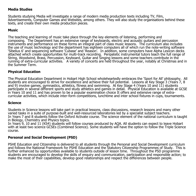## **Media Studies**

Students studying Media will investigate a range of modern media production texts including TV, Film, Advertisements, Computer Games and Websites, among others. They will also study the organisations behind these texts, and create their own media production pieces.

#### **Music**

The teaching and learning of music take place through the key elements of listening, performing and composing. The Department has an extensive range of keyboards, electric and acoustic guitars and percussion instruments and performance on these forms an integral part of class music lessons. The curriculum also includes the use of music technology and the department has eighteen computers all of which run the note-writing software 'Sibelius 6' and sequencing software 'Cubase' and 'Reason'. In addition, some computers have Alpha Lexicon decks attached which create opportunities for multi-track recording. Peripatetic instrumental tutors teach the full range of String, Woodwind, Brass, Percussion, Keyboard, Guitar and Singing lessons and some teachers contribute in the running of extra-curricular activities. A variety of concerts are held throughout the year, notably at Christmas and in the Summer Term.

## **Physical Education**

The Physical Education Department in Hobart High School wholeheartedly embraces the 'Sport for All' philosophy. All students are encouraged to strive for excellence and achieve their full potential. Lessons at Key Stage 3 (Years 7, 8 and 9) involve games, gymnastics, athletics, fitness and swimming. At Key Stage 4 (Years 10 and 11) students participate in several different sports and study athletics and games in detail. Physical Education is available at GCSE in Years 10 and 11 and has proven to be a popular examination choice It offers and extensive range of extracurricular activities, which include inter-form competitions, lunchtime and inter school fixtures in cups, tournaments.

#### **Science**

Students in Science lessons will take part in practical lessons, class discussions, research lessons and many other varied tasks in a suite of purpose-built and well-resourced laboratories led by a specialist subject teachers. In Years 7 and 8 students follow the Oxford Activate course. The science element of the national curriculum is taught in Biology, Chemistry and Physics topics.

In Years 9, 10 and 11 (KS4) students will follow courses produced by AQA. All students can expect to leave Hobart with at least two science GCSEs (Combined Science). Some students will have the option to follow the Triple Science course.

## **Personal and Social Development (PSD)**

PSHE Education and Citizenship is delivered to all students through the Personal and Social Development curriculum and follows the National Framework for PSHE Education and the Statutory Citizenship Programmes of Study. This is further enhanced by opportunities available to students outside of lesson time. Throughout the PSD programme students are encouraged to develop the skills of enquiry and communication, participation and responsible action; to make the most of their capabilities, develop good relationships and respect the differences between people.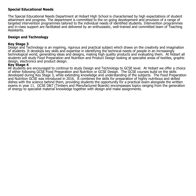## **Special Educational Needs**

The Special Educational Needs Department at Hobart High School is characterised by high expectations of student attainment and progress. The department is committed to the on going development and provision of a range of targeted intervention programmes tailored to the individual needs of identified students. Intervention programmes and in-class support are facilitated and delivered by an enthusiastic, well-trained and committed team of Teaching Assistants.

## **Design and Technology**

## **Key Stage 3**

Design and Technology is an inspiring, rigorous and practical subject which draws on the creativity and imagination of students. It develops key skills and expertise in identifying the technical needs of people in an increasingly technological world, generating ideas and designs, making high quality products and evaluating them. At Hobart all students will study Food Preparation and Nutrition and Product Design looking at specialist areas of textiles, graphic design, electronics and product design.

## **Key Stage 4**

All students are encouraged to continue to study Design and Technology to GCSE level. At Hobart we offer a choice of either following GCSE Food Preparation and Nutrition or GCSE Design. The GCSE courses build on the skills developed during Key Stage 3, while extending knowledge and understanding of the subjects. The Food Preparation and Nutrition GCSE was introduced in 2016. It combines the skills for preparation of highly nutritious and skilled dishes with the science behind them, providing students the opportunity for a practical exam alongside the written exams in year 11. GCSE D&T (Timbers and Manufactured Boards) encompasses topics ranging from the generation of energy to specialist material knowledge together with design and make assignments.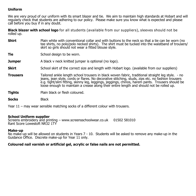## **Uniform**

We are very proud of our uniform with its smart blazer and tie. We aim to maintain high standards at Hobart and will regularly check that students are adhering to our policy. Please make sure you know what is expected and please call before you buy if in any doubt.

**Black blazer with school logo** for all students (available from our suppliers), sleeves should not be rolled up.

- **Shirt** Plain white with conventional collar and with buttons to the neck so that a tie can be worn (no tee shirts, no polo/polo necked shirts). The shirt must be tucked into the waistband of trousers/ skirt so girls should not wear a fitted blouse style.
- **Tie** School design to be worn.
- **Jumper** A black v neck knitted jumper is optional (no logo).
- **Skirt** School skirt of the correct size and length with Hobart logo. (available from our suppliers)
- **Trousers** Tailored ankle length school trousers in black woven fabric, traditional straight leg style. no jeans, jean style, cords or flares. No decorative stitching, studs, zips etc. no fashion trousers e.g. tight/slim fitting, skinny leg, leggings, jeggings, chinos, harem pants. Trousers should be loose enough to maintain a crease along their entire length and should not be rolled up.
- **Tights** Plain black or flesh coloured.
- **Socks** Black

Year 11 – may wear sensible matching socks of a different colour with trousers.

#### **School Uniform supplier**

Screens embroidery and printing – www.screensschoolwear.co.uk 01502 581010 Rant Score Lowestoft NR32 1TY

#### **Make-up**

No make-up will be allowed on students in Years 7 - 10. Students will be asked to remove any make-up in the Guidance Office. Discrete make-up for Year 11 only.

#### **Coloured nail varnish or artificial gel, acrylic or false nails are not permitted.**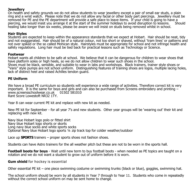#### **Jewellery**

On health and safety grounds we do not allow students to wear jewellery except a pair of small ear studs, a plain ring and a wrist watch. Please note that we do not allow any facial or other body part piercings. Jewellery must be removed for PE and the PE department will provide a safe place to leave items. If your child is going to have a<br>piercing, we would insist you arrange it at the start of the summer holidays to avoid disruption to lessons. S piercing, we would insist you arrange it at the start of the summer holidays to avoid disruption to lessons. healing take longer than six weeks, please be aware we will insist on studs being removed whilst in school.

## **Hair Styles**

Students are expected to keep within the appearance standards that we expect at Hobart. Hair should be neat, tidy and not exaggerated. Hair should be of a natural colour, not too short or shaved, without 'tram lines' or patterns and not over spiked or the so called Mohican style. Hairstyles must be appropriate for school and not infringe health and safety regulations. Long hair must be tied back for practical lessons such as Technology or Science.

#### **Footwear**

Hobart wants all children to be safe at school. We believe that it can be dangerous for children to wear shoes that have platform soles or high heels, so we do not allow children to wear such shoes in the school. Shoes must be black, sensible, and suitable to wear in labs and workshops. Black trainers, trainer style shoes or "Vans" style pumps are not school uniform. Distinguishing features of training shoes are logos, multiple lacing holes, lack of distinct heel and raised Achilles tendon guard.

#### **PE Uniform**

We have a broad PE curriculum so students will experience a wide range of activities. Therefore correct kit is very important. It is the same for boys and girls and can also be purchased from Screens embroidery and printing – www.screensschoolwear.co.uk 01502 581010 Rant Score Lowestoft NR32 1TY.

Year 8 can wear current PE kit and replace with new kit as needed.

New PE kit for September - for all year 7's and new students. Other year groups will be 'wearing out' their kit and replacing with new kit.

Navy blue Hobart logo polo or fitted shirt Navy blue Hobart logo shorts or skorts Long navy blue socks and white sports socks Optional Navy blue Hobart logo sports ¼ zip track top for colder weather/outdoor

Lace up **SPORTS** trainers – proper sports shoes not fashion shoes.

Students can have Astro trainers for the all weather pitch but these are not to be worn in the sports hall.

**Football boots for boys** - Wait until new term to buy football boots - when needed as PE topics are taught on a rotation and we do not want a student to grow out of uniform before it is worn.

**Gum shield** for hockey is essential

Other essential PE kit – one piece swimming costume or swimming trunks (black or blue), goggles, swimming hat.

The school uniform should be worn by all students in Year 7 through to Year 11. Students who come in repeatedly without the correct school uniform on may be sent home to change.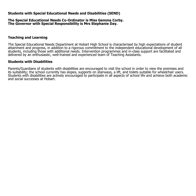## **Students with Special Educational Needs and Disabilities (SEND)**

#### **The Special Educational Needs Co-Ordinator is Miss Gemma Corby. The Governor with Special Responsibility is Mrs Stephanie Day.**

## **Teaching and Learning**

The Special Educational Needs Department at Hobart High School is characterised by high expectations of student attainment and progress, in addition to a rigorous commitment to the independent educational development of all students, including those with additional needs. Intervention programmes and in-class support are facilitated and delivered by an enthusiastic, well-trained and experienced team of Teaching Assistants.

#### **Students with Disabilities**

Parents/Guardians of students with disabilities are encouraged to visit the school in order to view the premises and its suitability; the school currently has slopes, supports on stairways, a lift, and toilets suitable for wheelchair users. Students with disabilities are actively encouraged to participate in all aspects of school life and achieve both academic and social successes at Hobart.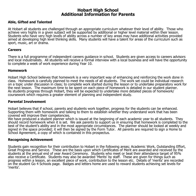## **Hobart High School Additional Information for Parents**

#### **Able, Gifted and Talented**

At Hobart all students are challenged through an appropriate curriculum whatever their level of ability. Those who achieve very highly in a given subject will be supported by additional or higher level material within their lesson. Students who have very high levels of ability across a number of key areas may have additional activities provided aimed at developing high level thinking skills. Many students will have a talent for areas of the curriculum such as sport, music, art or drama.

#### **Careers**

There is a full programme of independent careers guidance in school. Students are given access to careers advisors and local industrialists. All students will receive a formal interview with a local business and will have the opportunity to complete a week of work experience during Year 10.

#### **Homework**

Hobart High School believes that homework is a very important way of enhancing and reinforcing the work done in class. Homework is carefully planned to meet the needs of all students. The work set could be individual research on a topic under discussion in class; to complete work started during the lesson or to undertake preparatory work for the next lesson. The maximum time to be spent on each piece of homework is detailed in our student planner. As students progress through Hobart, they will be expected to undertake more detailed pieces of homework/ coursework which requires a greater element of planning and independent study.

#### **Parental Involvement**

Hobart believes that if school, parents and students work together, progress for the students can be enhanced. Supporting them with homework and talking to them to establish whether they understand work that has been covered will improve their competencies.

We have produced a student planner which is issued at the beginning of each academic year to all students. They should record homework when it is set. We ask parents to support us in ensuring that homework is completed to the best of the student's ability and in the most appropriate circumstances. The planner should be looked at weekly and signed in the space provided; it will then be signed by the Form Tutor. All parents are required to sign a Home to School Agreement, a copy of which is contained in this prospectus.

#### **Recognising Achievement**

Students gain recognition for their contribution to Hobart in the following areas; Academic Work, Outstanding Effort, Great Progress and Service. These are the basis upon which Certificates of Merit are awarded and received by the students at the annual end of year Award Ceremony. Students who meet or beat their attendance target of 95% also receive a Certificate. Students may also be awarded 'Merits' by staff. These are given for things such as progress within a lesson, an excellent piece of work, contribution to the lesson etc. Details of 'merits' are recorded on the student Go 4 Schools page. Badges and letters home are used to reward students achieving set levels for 'merits'.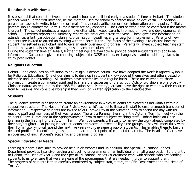## **Relationship with Home**

It is essential that contact between home and school is established early in a student's time at Hobart. The student planner would, in the first instance, be the method used for school to contact home or vice versa. In addition, parents are asked to write, telephone or email if they need clarification or more information on any point. Initially parents should contact the Form Tutor if there are any concerns. The Head of Year 7 can be contacted if the matter is urgent. The school produces a regular newsletter which keeps parents informed of news and developments at school. Full written reports and summary reports are produced across the year. These give clear information on attendance, effort, participation, planning/organisation, deadlines and targets for improvement. Parents of new students are invited to attend an evening with the Form Tutor. The focus of the evening is to discuss how the student has settled in at Hobart and to give an early overview of progress. Parents will meet subject teaching staff later in the year to discuss specific progress in each curriculum area.

During the students' time at Hobart, further meetings are available to provide parents/students with additional information. Guidance is given in choosing subjects for GCSE options, exchange visits and considering places to study post Hobart.

## **Religious Education**

Hobart High School has no affiliation to any religious denomination. We have adopted the Norfolk Agreed Syllabus for Religious Education. One of our aims is to develop in student's knowledge of themselves and others based on tolerance and understanding. All students have assemblies on a regular basis. These are essential to share information, create a community spirit and to share the successes of the school. Acts of worship are of a broadly Christian nature as required by the 1988 Education Act. Parents/guardians have the right to withdraw their children from RE lessons and collective worship if they wish, on written application to the Headteacher.

## **Students**

The guidance system is designed to create an environment in which students are treated as individuals within a supportive structure. The Head of Year 7 visits your child's school to liaise with staff to ensure smooth transition of information. Prospective students are invited to our Intake Day in the Summer Term to spend the day with us, meeting staff and members of their year group. There is a Parents' Evening in the Autumn Term to meet with the students' Form Tutors and in the Spring/Summer Term to meet subject teaching staff. Hobart holds an Open Evening in the first half of the Autumn Term. We hope parents will attend to review the work already completed by their son/daughter. On joining Hobart, students are placed in mixed ability tutor groups. They will meet daily with their Form Tutor who will spend the next five years with the same group of students. This enables them to build a detailed profile of student's progress and tutors are the first point of contact for parents. The Heads of Year have an overview of each student's academic and personal progress.

#### **Special Educational Needs**

Learning support is available to provide help in classrooms and, in addition, the Special Educational Needs Department provides intensive reading and spelling programmes on an individual or small group basis. Before entry to Hobart, the Head of Year 7 and the Special Educational Needs Co-ordinator work with schools who are sending students to us to ensure that we are aware of the programmes that are needed in order to support them. The progress of students is then carefully monitored by subject staff, tutors, the SEN Department and the Head of Year 7.